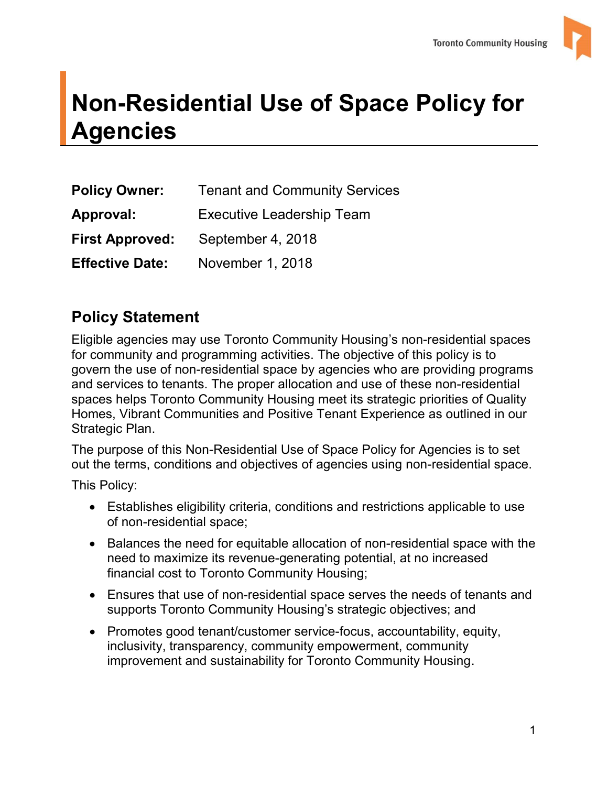

# **Agencies Non-Residential Use of Space Policy for Agencies Policy Owner:** Tenant and Community Services

| <b>Policy Owner:</b>   | <b>Tenant and Community Services</b> |  |
|------------------------|--------------------------------------|--|
| <b>Approval:</b>       | <b>Executive Leadership Team</b>     |  |
| <b>First Approved:</b> | September 4, 2018                    |  |
| <b>Effective Date:</b> | November 1, 2018                     |  |

### **Policy Statement**

 spaces helps Toronto Community Housing meet its strategic priorities of Quality Eligible agencies may use Toronto Community Housing's non-residential spaces for community and programming activities. The objective of this policy is to govern the use of non-residential space by agencies who are providing programs and services to tenants. The proper allocation and use of these non-residential Homes, Vibrant Communities and Positive Tenant Experience as outlined in our Strategic Plan.

The purpose of this Non-Residential Use of Space Policy for Agencies is to set out the terms, conditions and objectives of agencies using non-residential space.

This Policy:

- Establishes eligibility criteria, conditions and restrictions applicable to use of non-residential space;
- Balances the need for equitable allocation of non-residential space with the need to maximize its revenue-generating potential, at no increased financial cost to Toronto Community Housing;
- Ensures that use of non-residential space serves the needs of tenants and supports Toronto Community Housing's strategic objectives; and
- improvement and sustainability for Toronto Community Housing. • Promotes good tenant/customer service-focus, accountability, equity, inclusivity, transparency, community empowerment, community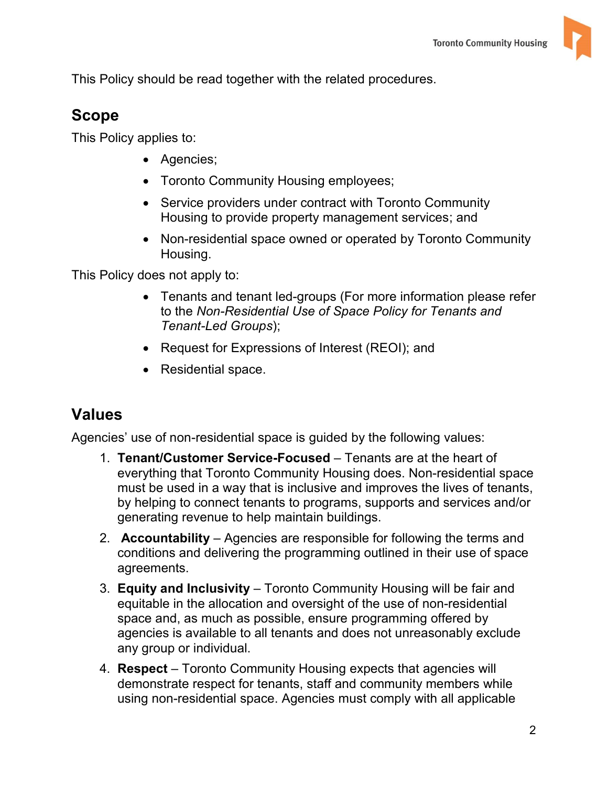This Policy should be read together with the related procedures.

#### **Scope**

This Policy applies to:

- Agencies;
- Toronto Community Housing employees;
- Service providers under contract with Toronto Community Housing to provide property management services; and
- Non-residential space owned or operated by Toronto Community Housing.

This Policy does not apply to:

- Tenants and tenant led-groups (For more information please refer *Tenant-Led Groups*); to the *Non-Residential Use of Space Policy for Tenants and*
- Request for Expressions of Interest (REOI); and
- Residential space.

#### **Values**

Agencies' use of non-residential space is guided by the following values:

- 1. **Tenant/Customer Service-Focused**  Tenants are at the heart of everything that Toronto Community Housing does. Non-residential space must be used in a way that is inclusive and improves the lives of tenants, by helping to connect tenants to programs, supports and services and/or
- generating revenue to help maintain buildings. 2. **Accountability**  Agencies are responsible for following the terms and agreements. conditions and delivering the programming outlined in their use of space
- agreements. 3. **Equity and Inclusivity**  Toronto Community Housing will be fair and agencies is available to all tenants and does not unreasonably exclude any group or individual. equitable in the allocation and oversight of the use of non-residential space and, as much as possible, ensure programming offered by
- 4. **Respect** Toronto Community Housing expects that agencies will demonstrate respect for tenants, staff and community members while using non-residential space. Agencies must comply with all applicable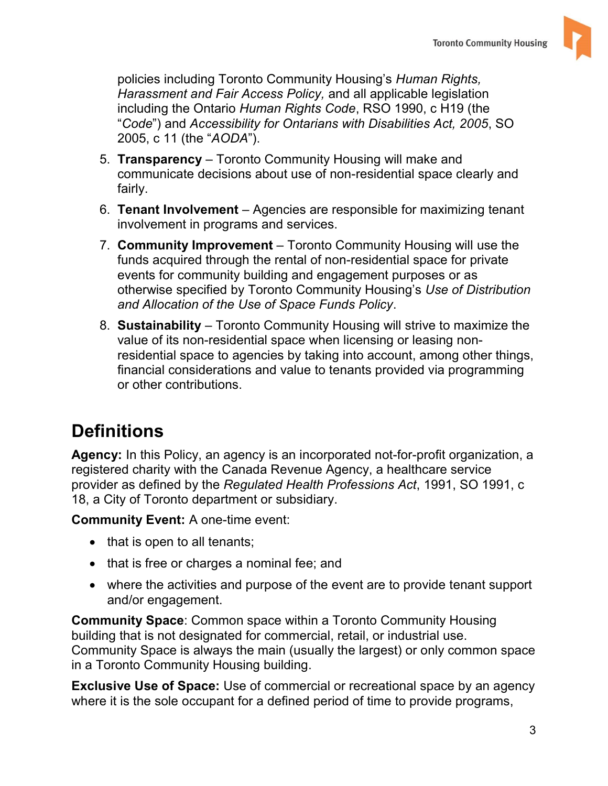

 including the Ontario *Human Rights Code*, RSO 1990, c H19 (the policies including Toronto Community Housing's *Human Rights, Harassment and Fair Access Policy,* and all applicable legislation "*Code*") and *Accessibility for Ontarians with Disabilities Act, 2005*, SO 2005, c 11 (the "*AODA*").

- 5. **Transparency**  Toronto Community Housing will make and communicate decisions about use of non-residential space clearly and fairly.
- fairly. 6. **Tenant Involvement**  Agencies are responsible for maximizing tenant involvement in programs and services.
- 7. **Community Improvement**  Toronto Community Housing will use the funds acquired through the rental of non-residential space for private events for community building and engagement purposes or as otherwise specified by Toronto Community Housing's *Use of Distribution*
- *and Allocation of the Use of Space Funds Policy*. 8. **Sustainability**  Toronto Community Housing will strive to maximize the residential space to agencies by taking into account, among other things, value of its non-residential space when licensing or leasing nonfinancial considerations and value to tenants provided via programming or other contributions.

# **Definitions**

 **Agency:** In this Policy, an agency is an incorporated not-for-profit organization, a registered charity with the Canada Revenue Agency, a healthcare service provider as defined by the *Regulated Health Professions Act*, 1991, SO 1991, c 18, a City of Toronto department or subsidiary.

**Community Event:** A one-time event:

- $\bullet$  that is open to all tenants;
- that is free or charges a nominal fee; and
- and/or engagement. where the activities and purpose of the event are to provide tenant support

 in a Toronto Community Housing building. **Community Space**: Common space within a Toronto Community Housing building that is not designated for commercial, retail, or industrial use. Community Space is always the main (usually the largest) or only common space

 where it is the sole occupant for a defined period of time to provide programs, **Exclusive Use of Space:** Use of commercial or recreational space by an agency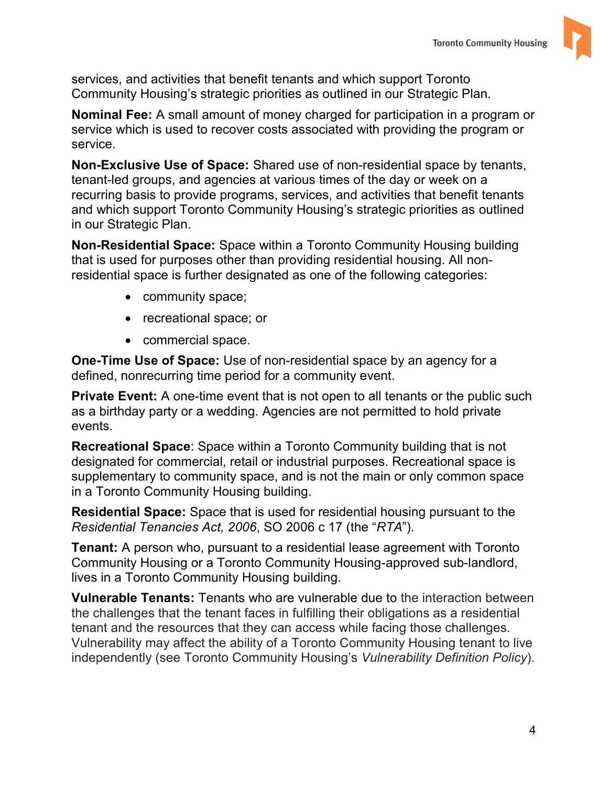

services, and activities that benefit tenants and which support Toronto Community Housing's strategic priorities as outlined in our Strategic Plan.

**Nominal Fee:** A small amount of money charged for participation in a program or service which is used to recover costs associated with providing the program or service.

 tenant-led groups, and agencies at various times of the day or week on a **Non-Exclusive Use of Space:** Shared use of non-residential space by tenants, recurring basis to provide programs, services, and activities that benefit tenants and which support Toronto Community Housing's strategic priorities as outlined in our Strategic Plan.

**Non-Residential Space:** Space within a Toronto Community Housing building that is used for purposes other than providing residential housing. All nonresidential space is further designated as one of the following categories:

- community space;
- recreational space; or
- commercial space.

 **One-Time Use of Space:** Use of non-residential space by an agency for a defined, nonrecurring time period for a community event.

 as a birthday party or a wedding. Agencies are not permitted to hold private **Private Event:** A one-time event that is not open to all tenants or the public such events.

**Recreational Space**: Space within a Toronto Community building that is not designated for commercial, retail or industrial purposes. Recreational space is supplementary to community space, and is not the main or only common space in a Toronto Community Housing building.

**Residential Space:** Space that is used for residential housing pursuant to the *Residential Tenancies Act, 2006*, SO 2006 c 17 (the "*RTA*").

**Tenant:** A person who, pursuant to a residential lease agreement with Toronto Community Housing or a Toronto Community Housing-approved sub-landlord, lives in a Toronto Community Housing building.

**Vulnerable Tenants:** Tenants who are vulnerable due to the interaction between the challenges that the tenant faces in fulfilling their obligations as a residential tenant and the resources that they can access while facing those challenges. Vulnerability may affect the ability of a Toronto Community Housing tenant to live independently (see Toronto Community Housing's *Vulnerability Definition Policy*).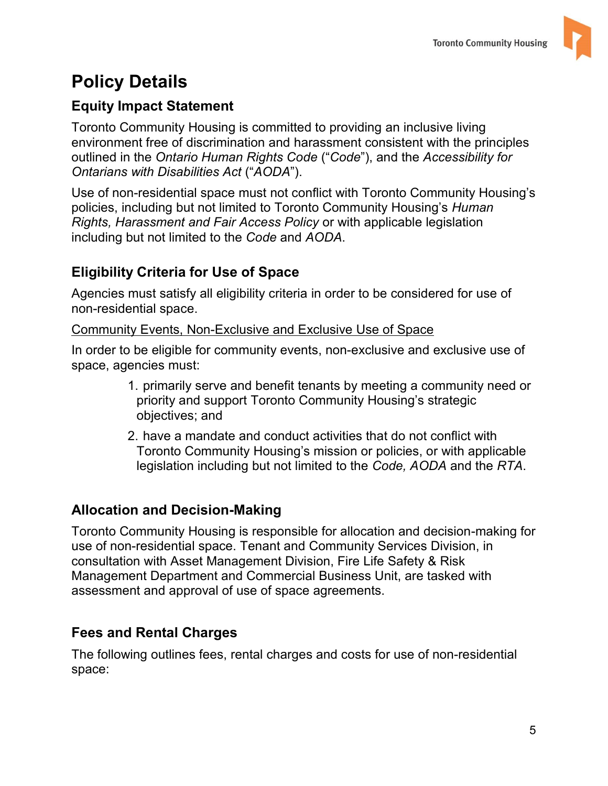# **Policy Details**

#### **Equity Impact Statement**

 *Ontarians with Disabilities Act* ("*AODA*"). Toronto Community Housing is committed to providing an inclusive living environment free of discrimination and harassment consistent with the principles outlined in the *Ontario Human Rights Code* ("*Code*"), and the *Accessibility for* 

 including but not limited to the *Code* and *AODA*. Use of non-residential space must not conflict with Toronto Community Housing's policies, including but not limited to Toronto Community Housing's *Human Rights, Harassment and Fair Access Policy* or with applicable legislation

#### **Eligibility Criteria for Use of Space**

 Agencies must satisfy all eligibility criteria in order to be considered for use of non-residential space.

#### Community Events, Non-Exclusive and Exclusive Use of Space

In order to be eligible for community events, non-exclusive and exclusive use of space, agencies must:

- 1. primarily serve and benefit tenants by meeting a community need or priority and support Toronto Community Housing's strategic objectives; and
- legislation including but not limited to the *Code, AODA* and the *RTA*. 2. have a mandate and conduct activities that do not conflict with Toronto Community Housing's mission or policies, or with applicable

#### **Allocation and Decision-Making**

Toronto Community Housing is responsible for allocation and decision-making for use of non-residential space. Tenant and Community Services Division, in consultation with Asset Management Division, Fire Life Safety & Risk Management Department and Commercial Business Unit, are tasked with assessment and approval of use of space agreements.

#### **Fees and Rental Charges**

The following outlines fees, rental charges and costs for use of non-residential space: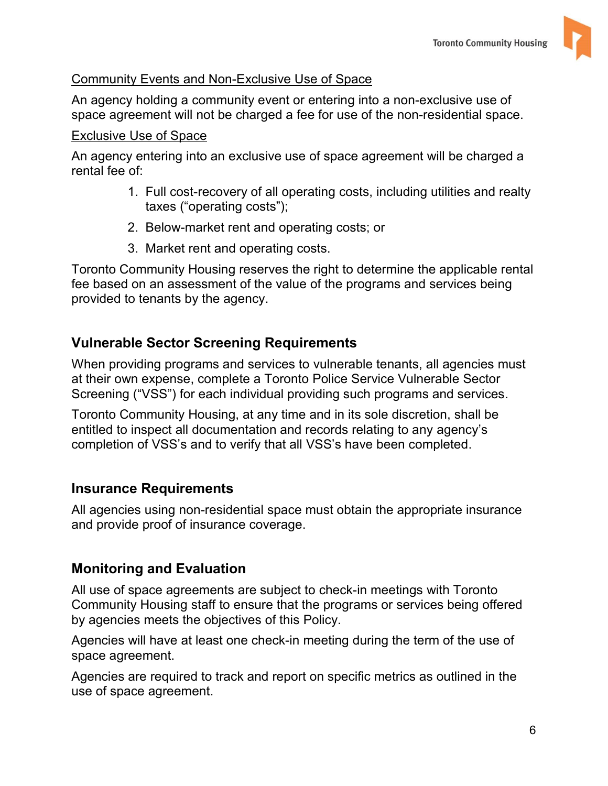

#### Community Events and Non-Exclusive Use of Space

 An agency holding a community event or entering into a non-exclusive use of space agreement will not be charged a fee for use of the non-residential space.

#### Exclusive Use of Space

 An agency entering into an exclusive use of space agreement will be charged a rental fee of:

- 1. Full cost-recovery of all operating costs, including utilities and realty taxes ("operating costs");
- 2. Below-market rent and operating costs; or
- 3. Market rent and operating costs.

 provided to tenants by the agency. Toronto Community Housing reserves the right to determine the applicable rental fee based on an assessment of the value of the programs and services being

#### **Vulnerable Sector Screening Requirements**

 When providing programs and services to vulnerable tenants, all agencies must Screening ("VSS") for each individual providing such programs and services. at their own expense, complete a Toronto Police Service Vulnerable Sector

 completion of VSS's and to verify that all VSS's have been completed. Toronto Community Housing, at any time and in its sole discretion, shall be entitled to inspect all documentation and records relating to any agency's

#### **Insurance Requirements**

All agencies using non-residential space must obtain the appropriate insurance and provide proof of insurance coverage.

#### **Monitoring and Evaluation**

 Community Housing staff to ensure that the programs or services being offered by agencies meets the objectives of this Policy. All use of space agreements are subject to check-in meetings with Toronto

 Agencies will have at least one check-in meeting during the term of the use of space agreement.

Agencies are required to track and report on specific metrics as outlined in the use of space agreement.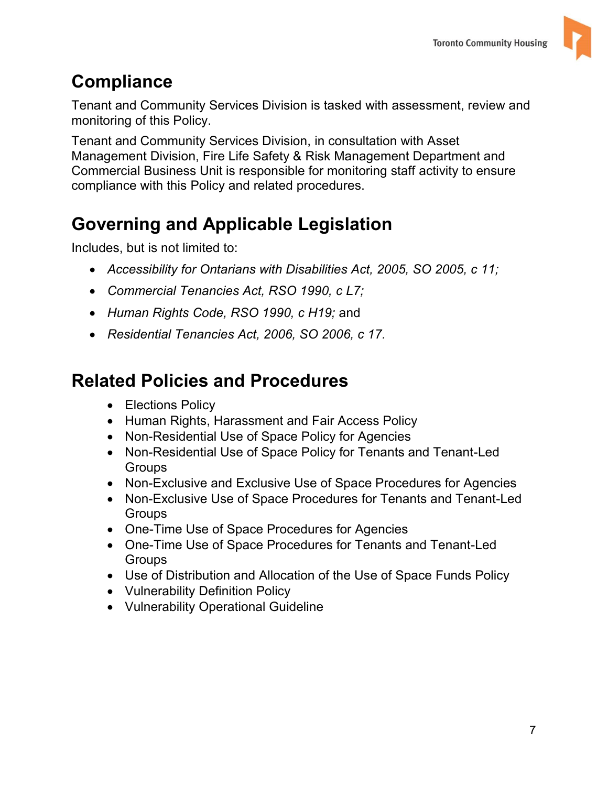

# **Compliance**

Tenant and Community Services Division is tasked with assessment, review and monitoring of this Policy.

Tenant and Community Services Division, in consultation with Asset Management Division, Fire Life Safety & Risk Management Department and Commercial Business Unit is responsible for monitoring staff activity to ensure compliance with this Policy and related procedures.

# **Governing and Applicable Legislation**

Includes, but is not limited to:

- *Accessibility for Ontarians with Disabilities Act, 2005, SO 2005, c 11;*
- *Commercial Tenancies Act, RSO 1990, c L7;*
- *Human Rights Code, RSO 1990, c H19;* and
- *Residential Tenancies Act, 2006, SO 2006, c 17.*

# **Related Policies and Procedures**

- Elections Policy
- Human Rights, Harassment and Fair Access Policy
- Non-Residential Use of Space Policy for Agencies
- Non-Residential Use of Space Policy for Tenants and Tenant-Led **Groups**
- Non-Exclusive and Exclusive Use of Space Procedures for Agencies
- Non-Exclusive Use of Space Procedures for Tenants and Tenant-Led **Groups**
- One-Time Use of Space Procedures for Agencies
- One-Time Use of Space Procedures for Tenants and Tenant-Led **Groups**
- Use of Distribution and Allocation of the Use of Space Funds Policy
- Vulnerability Definition Policy
- Vulnerability Operational Guideline